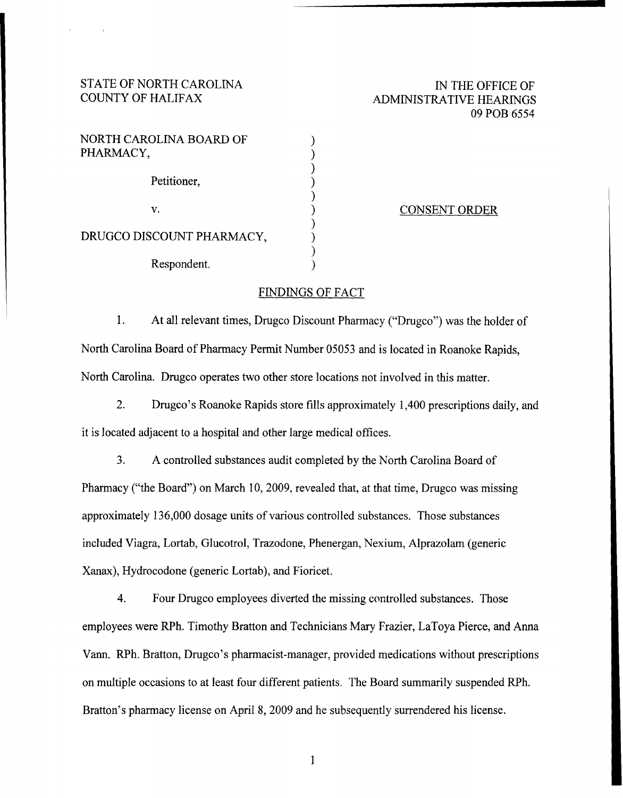# STATE OF NORTH CAROLINA COUNTY OF HALIFAX

# IN THE OFFICE OF ADMINISTRATIVE HEARINGS 09 POB 6554

| NORTH CAROLINA BOARD OF<br>PHARMACY, |  |
|--------------------------------------|--|
| Petitioner,                          |  |
| $\mathbf{V}$ .                       |  |
| DRUGCO DISCOUNT PHARMACY,            |  |
| Respondent.                          |  |

#### CONSENT ORDER

### FINDINGS OF FACT

1. At all relevant times, Drugco Discount Pharmacy ("Drugco") was the holder of North Carolina Board of Pharmacy Permit Number 05053 and is located in Roanoke Rapids, North Carolina. Drugco operates two other store locations not involved in this matter.

2. Drugco's Roanoke Rapids store fills approximately 1,400 prescriptions daily, and it is located adjacent to a hospital and other large medical offices.

3. A controlled substances audit completed by the North Carolina Board of Pharmacy ("the Board") on March 10, 2009, revealed that, at that time, Drugco was missing approximately 136,000 dosage units of various controlled substances. Those substances included Viagra, Lortab, Glucotrol, Trazodone, Phenergan, Nexium, Alprazolam (generic Xanax), Hydrocodone (generic Lortab), and Fioricet.

4. Four Drugco employees diverted the missing controlled substances. Those employees were RPh. Timothy Bratton and Technicians Mary Frazier, LaToya Pierce, and Anna Vann. RPh. Bratton, Drugco's pharmacist-manager, provided medications without prescriptions on multiple occasions to at least four different patients" The Board summarily suspended RPh. Bratton's pharmacy license on April 8, 2009 and he subsequently surrendered his license.

 $\mathbf{1}$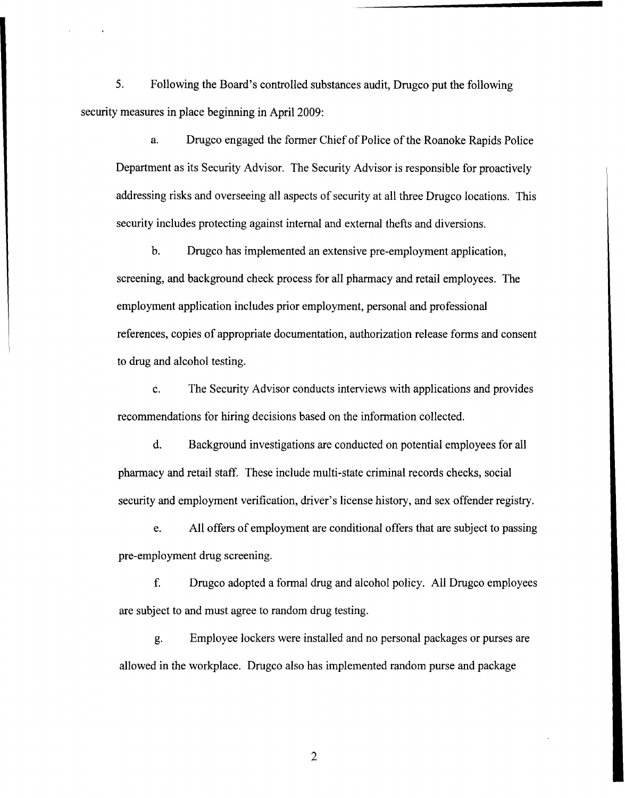5. Following the Board's controlled substances audit, Drugco put the following security measures in place beginning in April 2009:

a. Drugco engaged the former Chief of Police of the Roanoke Rapids Police Department as its Security Advisor. The Security Advisor is responsible for proactively addressing risks and overseeing all aspects of security at all three Drugco locations. This security includes protecting against internal and external thefts and diversions.

b. Drugco has implemented an extensive pre-employment application, screening, and background check process for all pharmacy and retail employees. The employment application includes prior employment, personal and professional references, copies of appropriate documentation, authorization release forms and consent to drug and alcohol testing.

c. The Security Advisor conducts interviews with applications and provides recommendations for hiring decisions based on the information collected.

d. Background investigations are conducted on potential employees for all pharmacy and retail staff. These include multi-state criminal records checks, social security and employment verification, driver's license history, and sex offender registry.

e. All offers of employment are conditional offers that are subject to passing pre-employment drug screening.

f. Drugco adopted a formal drug and alcohol policy. All Drugco employees are subject to and must agree to random drug testing.

g. Employee lockers were installed. and no personal packages or purses are allowed in the workplace. Drugco also has implemented random purse and package

2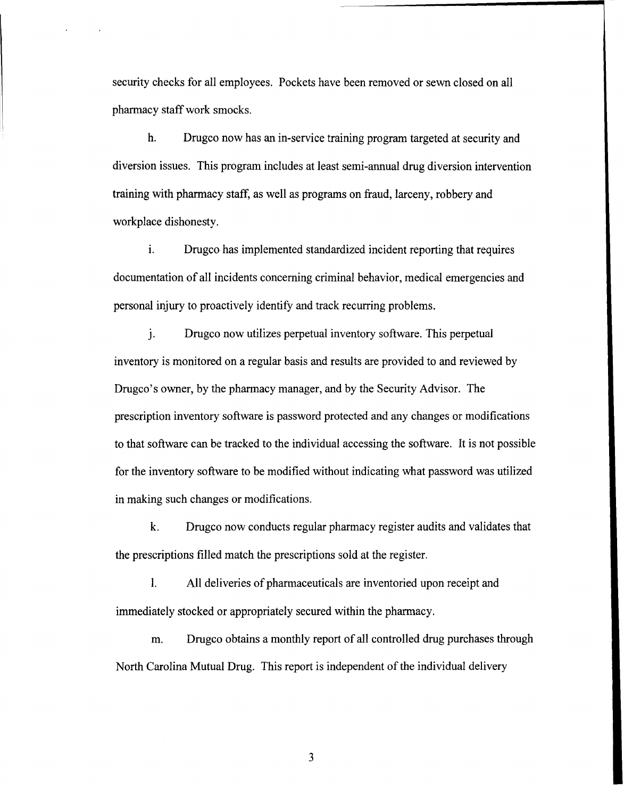security checks for all employees. Pockets have been removed or sewn closed on all pharmacy staff work smocks.

h. Drugco now has an in-service training program targeted at security and diversion issues. This program includes at least semi-annual drug diversion intervention training with pharmacy staff, as well as programs on fraud, larceny, robbery and workplace dishonesty.

1. Drugco has implemented standardized incident reporting that requires documentation of all incidents concerning criminal behavior, medical emergencies and personal injury to proactively identify and track recurring problems.

J. Drugco now utilizes perpetual inventory software. This perpetual inventory is monitored on a regular basis and results are provided to and reviewed by Drugco's owner, by the pharmacy manager, and by the Security Advisor. The prescription inventory software is password protected and any changes or modifications to that software can be tracked to the individual accessing the software. It is not possible for the inventory software to be modified without indicating what password was utilized in making such changes or modifications.

k. Drugco now conducts regular pharmacy register audits and validates that the prescriptions filled match the prescriptions sold at the register.

1. All deliveries of pharmaceuticals are inventoried upon receipt and immediately stocked or appropriately secured within the pharmacy.

m. Drugco obtains a monthly report of all controlled drug purchases through North Carolina Mutual Drug. This report is independent of the individual delivery

3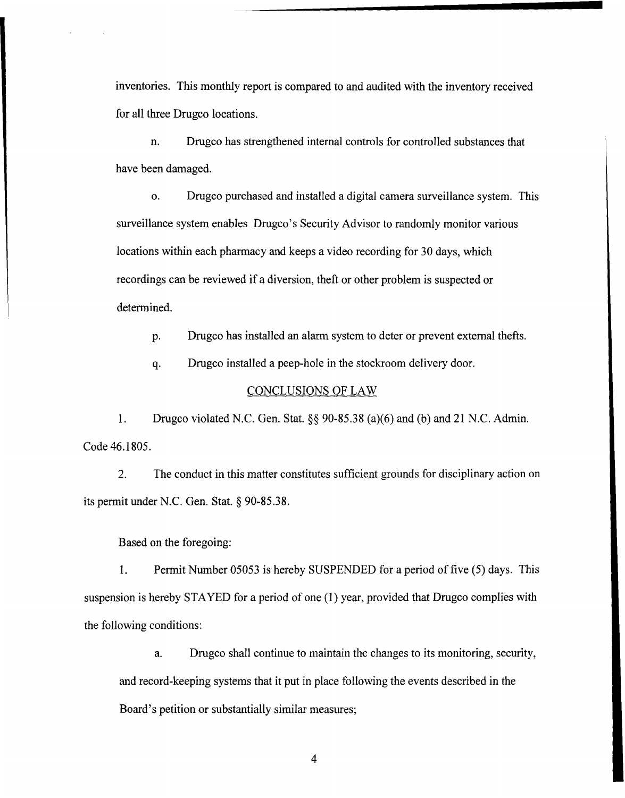inventories. This monthly report is compared to and audited with the inventory received for all three Drugco locations.

n. Drugco has strengthened internal controls for controlled substances that have been damaged.

o. Drugco purchased and installed a digital camera surveillance system. This surveillance system enables Drugco's Security Advisor to randomly monitor various locations within each pharmacy and keeps a video recording for 30 days, which recordings can be reviewed if a diversion, theft or other problem is suspected or determined.

p. Drugco has installed an alarm system to deter or prevent external thefts.

q. Drugco installed a peep-hole in the stockroom delivery door.

### CONCLUSIONS OF LAW

1. Drugco violated N.C. Gen. Stat. §§ 90-85.38 (a)(6) and (b) and 21 N.C. Admin. Code 46.1805.

2. The conduct in this matter constitutes sufficient grounds for disciplinary action on its permit under N.C. Gen. Stat. § 90-85.38.

Based on the foregoing:

1. Permit Number 05053 is hereby SUSPENDED for a period of five (5) days. This suspension is hereby STAYED for a period of one (1) year, provided that Drugco complies with the following conditions:

a. Drugco shall continue to maintain the changes to its monitoring, security, and record-keeping systems that it put in place following the events described in the Board's petition or substantially similar measures;

4